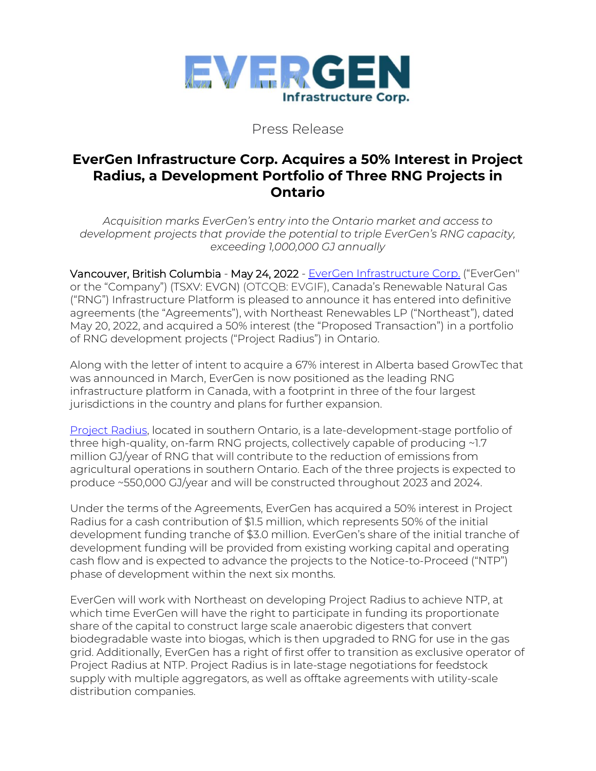

Press Release

## **EverGen Infrastructure Corp. Acquires a 50% Interest in Project Radius, a Development Portfolio of Three RNG Projects in Ontario**

*Acquisition marks EverGen's entry into the Ontario market and access to development projects that provide the potential to triple EverGen's RNG capacity, exceeding 1,000,000 GJ annually*

Vancouver, British Columbia - May 24, 2022 - [EverGen Infrastructure Corp.](https://www.evergeninfra.com/) ("EverGen'' or the "Company") (TSXV: EVGN) (OTCQB: EVGIF), Canada's Renewable Natural Gas ("RNG") Infrastructure Platform is pleased to announce it has entered into definitive agreements (the "Agreements"), with Northeast Renewables LP ("Northeast"), dated May 20, 2022, and acquired a 50% interest (the "Proposed Transaction") in a portfolio of RNG development projects ("Project Radius") in Ontario.

Along with the letter of intent to acquire a 67% interest in Alberta based GrowTec that was announced in March, EverGen is now positioned as the leading RNG infrastructure platform in Canada, with a footprint in three of the four largest jurisdictions in the country and plans for further expansion.

[Project Radius,](https://www.radiusrng.com/) located in southern Ontario, is a late-development-stage portfolio of three high-quality, on-farm RNG projects, collectively capable of producing ~1.7 million GJ/year of RNG that will contribute to the reduction of emissions from agricultural operations in southern Ontario. Each of the three projects is expected to produce ~550,000 GJ/year and will be constructed throughout 2023 and 2024.

Under the terms of the Agreements, EverGen has acquired a 50% interest in Project Radius for a cash contribution of \$1.5 million, which represents 50% of the initial development funding tranche of \$3.0 million. EverGen's share of the initial tranche of development funding will be provided from existing working capital and operating cash flow and is expected to advance the projects to the Notice-to-Proceed ("NTP") phase of development within the next six months.

EverGen will work with Northeast on developing Project Radius to achieve NTP, at which time EverGen will have the right to participate in funding its proportionate share of the capital to construct large scale anaerobic digesters that convert biodegradable waste into biogas, which is then upgraded to RNG for use in the gas grid. Additionally, EverGen has a right of first offer to transition as exclusive operator of Project Radius at NTP. Project Radius is in late-stage negotiations for feedstock supply with multiple aggregators, as well as offtake agreements with utility-scale distribution companies.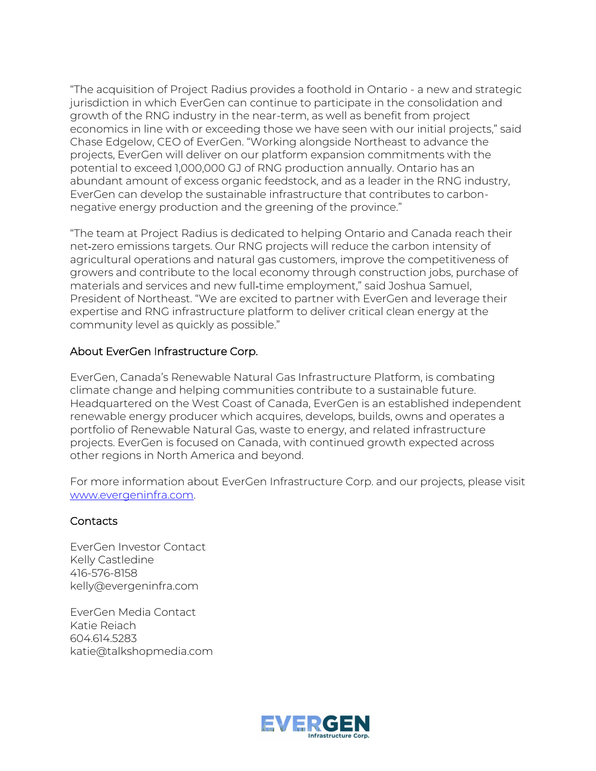"The acquisition of Project Radius provides a foothold in Ontario - a new and strategic jurisdiction in which EverGen can continue to participate in the consolidation and growth of the RNG industry in the near-term, as well as benefit from project economics in line with or exceeding those we have seen with our initial projects," said Chase Edgelow, CEO of EverGen. "Working alongside Northeast to advance the projects, EverGen will deliver on our platform expansion commitments with the potential to exceed 1,000,000 GJ of RNG production annually. Ontario has an abundant amount of excess organic feedstock, and as a leader in the RNG industry, EverGen can develop the sustainable infrastructure that contributes to carbonnegative energy production and the greening of the province."

"The team at Project Radius is dedicated to helping Ontario and Canada reach their net‑zero emissions targets. Our RNG projects will reduce the carbon intensity of agricultural operations and natural gas customers, improve the competitiveness of growers and contribute to the local economy through construction jobs, purchase of materials and services and new full‑time employment," said Joshua Samuel, President of Northeast. "We are excited to partner with EverGen and leverage their expertise and RNG infrastructure platform to deliver critical clean energy at the community level as quickly as possible."

## About EverGen Infrastructure Corp.

EverGen, Canada's Renewable Natural Gas Infrastructure Platform, is combating climate change and helping communities contribute to a sustainable future. Headquartered on the West Coast of Canada, EverGen is an established independent renewable energy producer which acquires, develops, builds, owns and operates a portfolio of Renewable Natural Gas, waste to energy, and related infrastructure projects. EverGen is focused on Canada, with continued growth expected across other regions in North America and beyond.

For more information about EverGen Infrastructure Corp. and our projects, please visit [www.evergeninfra.com.](http://www.evergeninfra.com/)

## **Contacts**

EverGen Investor Contact Kelly Castledine 416-576-8158 kelly@evergeninfra.com

EverGen Media Contact Katie Reiach 604.614.5283 katie@talkshopmedia.com